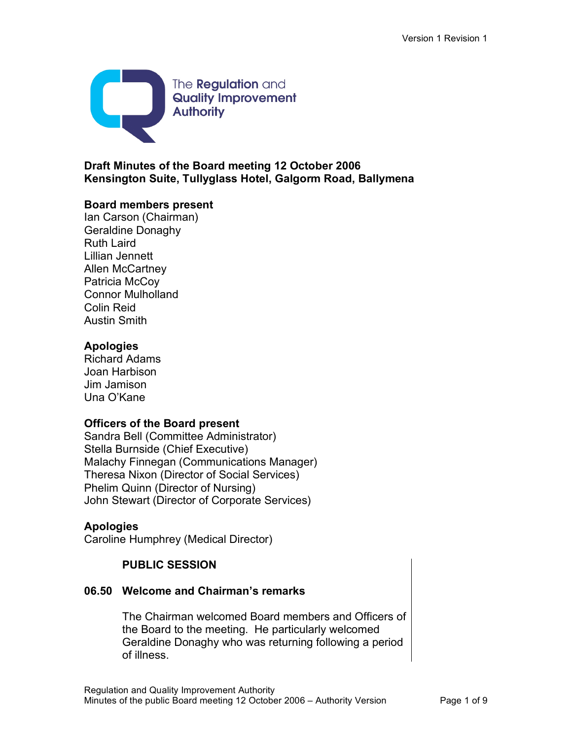

## **Draft Minutes of the Board meeting 12 October 2006 Kensington Suite, Tullyglass Hotel, Galgorm Road, Ballymena**

#### **Board members present**

Ian Carson (Chairman) Geraldine Donaghy Ruth Laird Lillian Jennett Allen McCartney Patricia McCoy Connor Mulholland Colin Reid Austin Smith

## **Apologies**

Richard Adams Joan Harbison Jim Jamison Una O'Kane

## **Officers of the Board present**

Sandra Bell (Committee Administrator) Stella Burnside (Chief Executive) Malachy Finnegan (Communications Manager) Theresa Nixon (Director of Social Services) Phelim Quinn (Director of Nursing) John Stewart (Director of Corporate Services)

## **Apologies**

Caroline Humphrey (Medical Director)

# **PUBLIC SESSION**

## **06.50 Welcome and Chairman's remarks**

The Chairman welcomed Board members and Officers of the Board to the meeting. He particularly welcomed Geraldine Donaghy who was returning following a period of illness.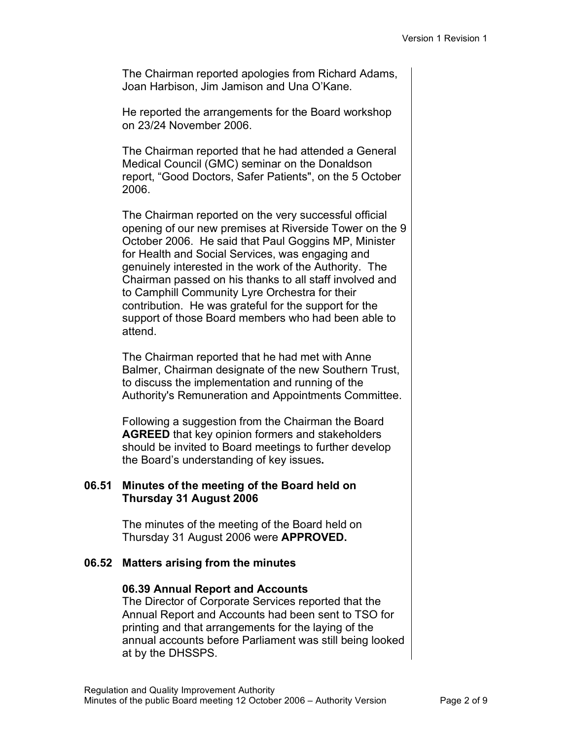The Chairman reported apologies from Richard Adams, Joan Harbison, Jim Jamison and Una O'Kane.

He reported the arrangements for the Board workshop on 23/24 November 2006.

The Chairman reported that he had attended a General Medical Council (GMC) seminar on the Donaldson report, "Good Doctors, Safer Patients", on the 5 October 2006.

The Chairman reported on the very successful official opening of our new premises at Riverside Tower on the 9 October 2006. He said that Paul Goggins MP, Minister for Health and Social Services, was engaging and genuinely interested in the work of the Authority. The Chairman passed on his thanks to all staff involved and to Camphill Community Lyre Orchestra for their contribution. He was grateful for the support for the support of those Board members who had been able to attend.

The Chairman reported that he had met with Anne Balmer, Chairman designate of the new Southern Trust, to discuss the implementation and running of the Authority's Remuneration and Appointments Committee.

Following a suggestion from the Chairman the Board **AGREED** that key opinion formers and stakeholders should be invited to Board meetings to further develop the Board's understanding of key issues**.**

## **06.51 Minutes of the meeting of the Board held on Thursday 31 August 2006**

The minutes of the meeting of the Board held on Thursday 31 August 2006 were **APPROVED.**

## **06.52 Matters arising from the minutes**

## **06.39 Annual Report and Accounts**

The Director of Corporate Services reported that the Annual Report and Accounts had been sent to TSO for printing and that arrangements for the laying of the annual accounts before Parliament was still being looked at by the DHSSPS.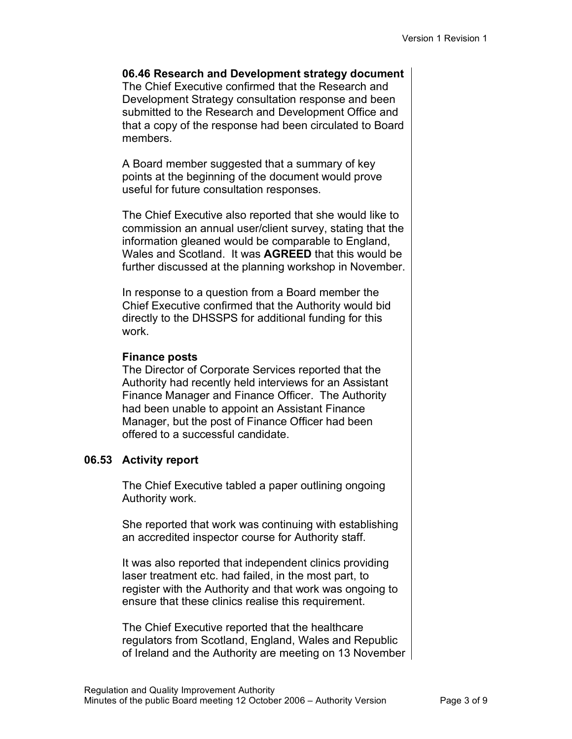**06.46 Research and Development strategy document** The Chief Executive confirmed that the Research and Development Strategy consultation response and been submitted to the Research and Development Office and that a copy of the response had been circulated to Board members.

A Board member suggested that a summary of key points at the beginning of the document would prove useful for future consultation responses.

The Chief Executive also reported that she would like to commission an annual user/client survey, stating that the information gleaned would be comparable to England, Wales and Scotland. It was **AGREED** that this would be further discussed at the planning workshop in November.

In response to a question from a Board member the Chief Executive confirmed that the Authority would bid directly to the DHSSPS for additional funding for this work.

## **Finance posts**

The Director of Corporate Services reported that the Authority had recently held interviews for an Assistant Finance Manager and Finance Officer. The Authority had been unable to appoint an Assistant Finance Manager, but the post of Finance Officer had been offered to a successful candidate.

# **06.53 Activity report**

The Chief Executive tabled a paper outlining ongoing Authority work.

She reported that work was continuing with establishing an accredited inspector course for Authority staff.

It was also reported that independent clinics providing laser treatment etc. had failed, in the most part, to register with the Authority and that work was ongoing to ensure that these clinics realise this requirement.

The Chief Executive reported that the healthcare regulators from Scotland, England, Wales and Republic of Ireland and the Authority are meeting on 13 November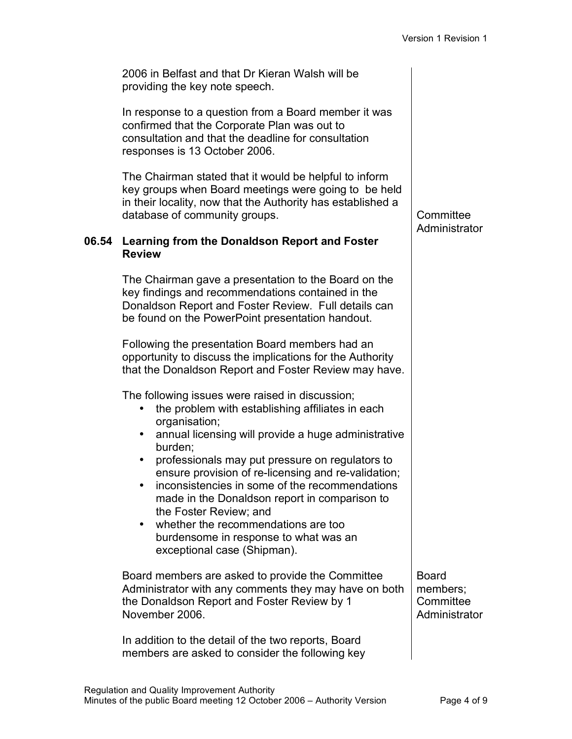2006 in Belfast and that Dr Kieran Walsh will be providing the key note speech.

In response to a question from a Board member it was confirmed that the Corporate Plan was out to consultation and that the deadline for consultation responses is 13 October 2006.

The Chairman stated that it would be helpful to inform key groups when Board meetings were going to be held in their locality, now that the Authority has established a database of community groups. The committee committee

#### **06.54 Learning from the Donaldson Report and Foster Review**

The Chairman gave a presentation to the Board on the key findings and recommendations contained in the Donaldson Report and Foster Review. Full details can be found on the PowerPoint presentation handout.

Following the presentation Board members had an opportunity to discuss the implications for the Authority that the Donaldson Report and Foster Review may have.

The following issues were raised in discussion;

- the problem with establishing affiliates in each organisation;
- annual licensing will provide a huge administrative burden;
- professionals may put pressure on regulators to ensure provision of re-licensing and re-validation;
- inconsistencies in some of the recommendations made in the Donaldson report in comparison to the Foster Review; and
- whether the recommendations are too burdensome in response to what was an exceptional case (Shipman).

Board members are asked to provide the Committee Administrator with any comments they may have on both the Donaldson Report and Foster Review by 1 November 2006.

In addition to the detail of the two reports, Board members are asked to consider the following key

Board members; **Committee Administrator** 

# **Administrator**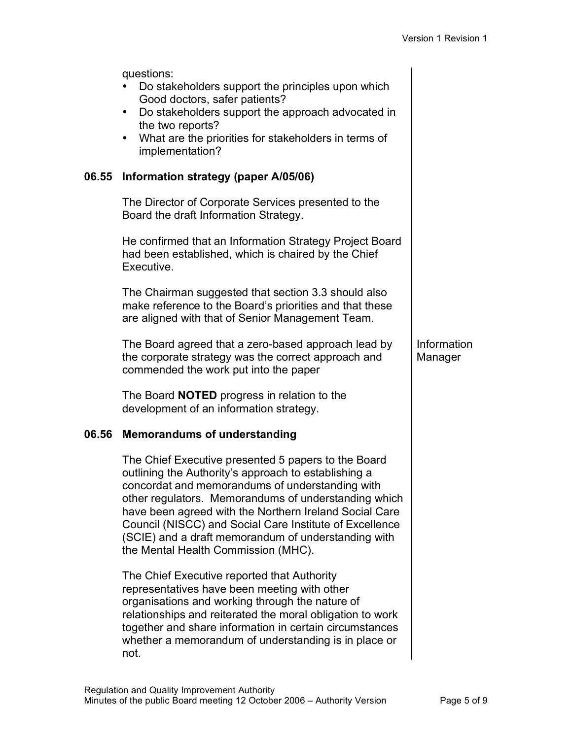Information Manager

questions:

- Do stakeholders support the principles upon which Good doctors, safer patients?
- Do stakeholders support the approach advocated in the two reports?
- What are the priorities for stakeholders in terms of implementation?

## **06.55 Information strategy (paper A/05/06)**

The Director of Corporate Services presented to the Board the draft Information Strategy.

He confirmed that an Information Strategy Project Board had been established, which is chaired by the Chief Executive.

The Chairman suggested that section 3.3 should also make reference to the Board's priorities and that these are aligned with that of Senior Management Team.

The Board agreed that a zero-based approach lead by the corporate strategy was the correct approach and commended the work put into the paper

The Board **NOTED** progress in relation to the development of an information strategy.

## **06.56 Memorandums of understanding**

The Chief Executive presented 5 papers to the Board outlining the Authority's approach to establishing a concordat and memorandums of understanding with other regulators. Memorandums of understanding which have been agreed with the Northern Ireland Social Care Council (NISCC) and Social Care Institute of Excellence (SCIE) and a draft memorandum of understanding with the Mental Health Commission (MHC).

The Chief Executive reported that Authority representatives have been meeting with other organisations and working through the nature of relationships and reiterated the moral obligation to work together and share information in certain circumstances whether a memorandum of understanding is in place or not.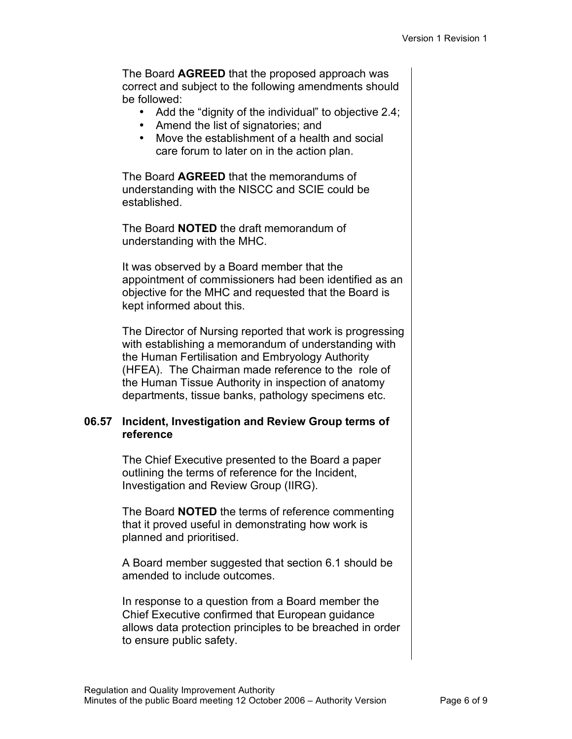The Board **AGREED** that the proposed approach was correct and subject to the following amendments should be followed:

- Add the "dignity of the individual" to objective 2.4;
- Amend the list of signatories; and
- Move the establishment of a health and social care forum to later on in the action plan.

The Board **AGREED** that the memorandums of understanding with the NISCC and SCIE could be established.

The Board **NOTED** the draft memorandum of understanding with the MHC.

It was observed by a Board member that the appointment of commissioners had been identified as an objective for the MHC and requested that the Board is kept informed about this.

The Director of Nursing reported that work is progressing with establishing a memorandum of understanding with the Human Fertilisation and Embryology Authority (HFEA). The Chairman made reference to the role of the Human Tissue Authority in inspection of anatomy departments, tissue banks, pathology specimens etc.

#### **06.57 Incident, Investigation and Review Group terms of reference**

The Chief Executive presented to the Board a paper outlining the terms of reference for the Incident, Investigation and Review Group (IIRG).

The Board **NOTED** the terms of reference commenting that it proved useful in demonstrating how work is planned and prioritised.

A Board member suggested that section 6.1 should be amended to include outcomes.

In response to a question from a Board member the Chief Executive confirmed that European guidance allows data protection principles to be breached in order to ensure public safety.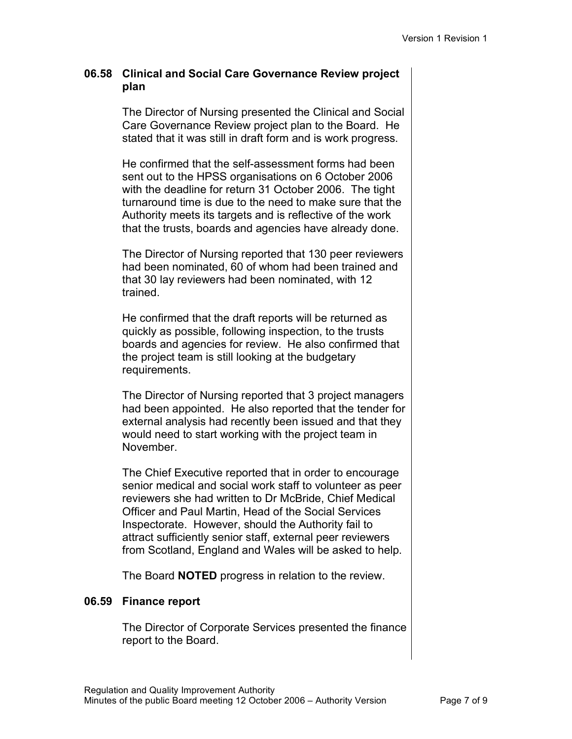## **06.58 Clinical and Social Care Governance Review project plan**

The Director of Nursing presented the Clinical and Social Care Governance Review project plan to the Board. He stated that it was still in draft form and is work progress.

He confirmed that the self-assessment forms had been sent out to the HPSS organisations on 6 October 2006 with the deadline for return 31 October 2006. The tight turnaround time is due to the need to make sure that the Authority meets its targets and is reflective of the work that the trusts, boards and agencies have already done.

The Director of Nursing reported that 130 peer reviewers had been nominated, 60 of whom had been trained and that 30 lay reviewers had been nominated, with 12 trained.

He confirmed that the draft reports will be returned as quickly as possible, following inspection, to the trusts boards and agencies for review. He also confirmed that the project team is still looking at the budgetary requirements.

The Director of Nursing reported that 3 project managers had been appointed. He also reported that the tender for external analysis had recently been issued and that they would need to start working with the project team in November.

The Chief Executive reported that in order to encourage senior medical and social work staff to volunteer as peer reviewers she had written to Dr McBride, Chief Medical Officer and Paul Martin, Head of the Social Services Inspectorate. However, should the Authority fail to attract sufficiently senior staff, external peer reviewers from Scotland, England and Wales will be asked to help.

The Board **NOTED** progress in relation to the review.

## **06.59 Finance report**

The Director of Corporate Services presented the finance report to the Board.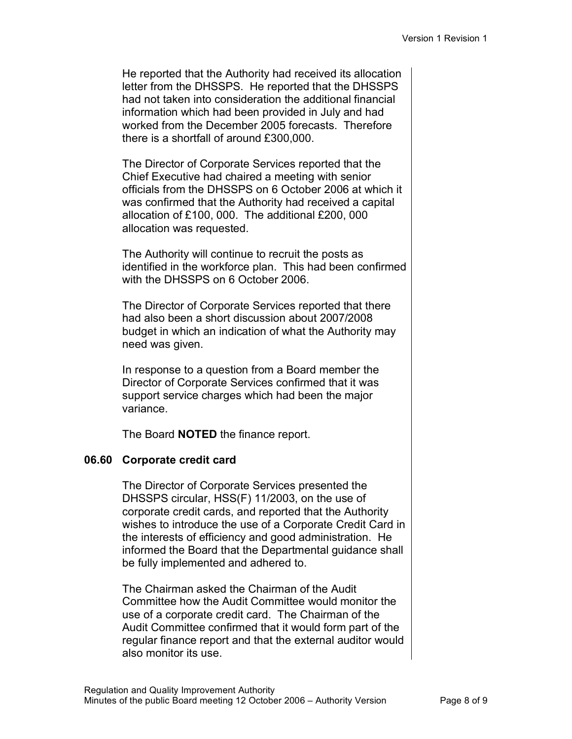He reported that the Authority had received its allocation letter from the DHSSPS. He reported that the DHSSPS had not taken into consideration the additional financial information which had been provided in July and had worked from the December 2005 forecasts. Therefore there is a shortfall of around £300,000.

The Director of Corporate Services reported that the Chief Executive had chaired a meeting with senior officials from the DHSSPS on 6 October 2006 at which it was confirmed that the Authority had received a capital allocation of £100, 000. The additional £200, 000 allocation was requested.

The Authority will continue to recruit the posts as identified in the workforce plan. This had been confirmed with the DHSSPS on 6 October 2006

The Director of Corporate Services reported that there had also been a short discussion about 2007/2008 budget in which an indication of what the Authority may need was given.

In response to a question from a Board member the Director of Corporate Services confirmed that it was support service charges which had been the major variance.

The Board **NOTED** the finance report.

# **06.60 Corporate credit card**

The Director of Corporate Services presented the DHSSPS circular, HSS(F) 11/2003, on the use of corporate credit cards, and reported that the Authority wishes to introduce the use of a Corporate Credit Card in the interests of efficiency and good administration. He informed the Board that the Departmental guidance shall be fully implemented and adhered to.

The Chairman asked the Chairman of the Audit Committee how the Audit Committee would monitor the use of a corporate credit card. The Chairman of the Audit Committee confirmed that it would form part of the regular finance report and that the external auditor would also monitor its use.